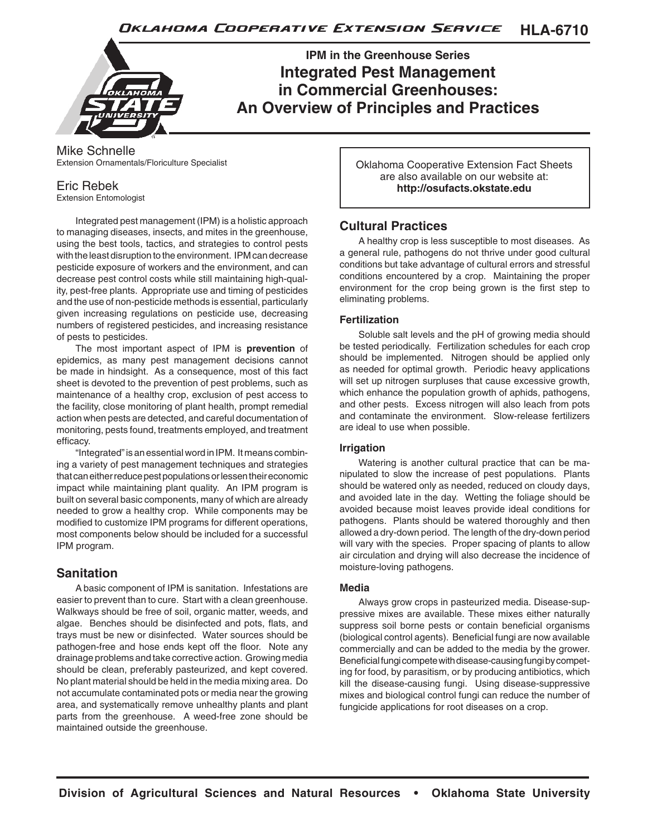**HLA-6710** Oklahoma Cooperative Extension Service



**IPM in the Greenhouse Series Integrated Pest Management in Commercial Greenhouses: An Overview of Principles and Practices**

#### Mike Schnelle Extension Ornamentals/Floriculture Specialist

## Eric Rebek

Extension Entomologist

Integrated pest management (IPM) is a holistic approach to managing diseases, insects, and mites in the greenhouse, using the best tools, tactics, and strategies to control pests with the least disruption to the environment. IPM can decrease pesticide exposure of workers and the environment, and can decrease pest control costs while still maintaining high-quality, pest-free plants. Appropriate use and timing of pesticides and the use of non-pesticide methods is essential, particularly given increasing regulations on pesticide use, decreasing numbers of registered pesticides, and increasing resistance of pests to pesticides.

The most important aspect of IPM is **prevention** of epidemics, as many pest management decisions cannot be made in hindsight. As a consequence, most of this fact sheet is devoted to the prevention of pest problems, such as maintenance of a healthy crop, exclusion of pest access to the facility, close monitoring of plant health, prompt remedial action when pests are detected, and careful documentation of monitoring, pests found, treatments employed, and treatment efficacy.

"Integrated" is an essential word in IPM. It means combining a variety of pest management techniques and strategies that can either reduce pest populations or lessen their economic impact while maintaining plant quality. An IPM program is built on several basic components, many of which are already needed to grow a healthy crop. While components may be modified to customize IPM programs for different operations, most components below should be included for a successful IPM program.

# **Sanitation**

A basic component of IPM is sanitation. Infestations are easier to prevent than to cure. Start with a clean greenhouse. Walkways should be free of soil, organic matter, weeds, and algae. Benches should be disinfected and pots, flats, and trays must be new or disinfected. Water sources should be pathogen-free and hose ends kept off the floor. Note any drainage problems and take corrective action. Growing media should be clean, preferably pasteurized, and kept covered. No plant material should be held in the media mixing area. Do not accumulate contaminated pots or media near the growing area, and systematically remove unhealthy plants and plant parts from the greenhouse. A weed-free zone should be maintained outside the greenhouse.

Oklahoma Cooperative Extension Fact Sheets are also available on our website at: **http://osufacts.okstate.edu**

# **Cultural Practices**

A healthy crop is less susceptible to most diseases. As a general rule, pathogens do not thrive under good cultural conditions but take advantage of cultural errors and stressful conditions encountered by a crop. Maintaining the proper environment for the crop being grown is the first step to eliminating problems.

#### **Fertilization**

Soluble salt levels and the pH of growing media should be tested periodically. Fertilization schedules for each crop should be implemented. Nitrogen should be applied only as needed for optimal growth. Periodic heavy applications will set up nitrogen surpluses that cause excessive growth, which enhance the population growth of aphids, pathogens, and other pests. Excess nitrogen will also leach from pots and contaminate the environment. Slow-release fertilizers are ideal to use when possible.

#### **Irrigation**

Watering is another cultural practice that can be manipulated to slow the increase of pest populations. Plants should be watered only as needed, reduced on cloudy days, and avoided late in the day. Wetting the foliage should be avoided because moist leaves provide ideal conditions for pathogens. Plants should be watered thoroughly and then allowed a dry-down period. The length of the dry-down period will vary with the species. Proper spacing of plants to allow air circulation and drying will also decrease the incidence of moisture-loving pathogens.

#### **Media**

Always grow crops in pasteurized media. Disease-suppressive mixes are available. These mixes either naturally suppress soil borne pests or contain beneficial organisms (biological control agents). Beneficial fungi are now available commercially and can be added to the media by the grower. Beneficial fungi compete with disease-causing fungi by competing for food, by parasitism, or by producing antibiotics, which kill the disease-causing fungi. Using disease-suppressive mixes and biological control fungi can reduce the number of fungicide applications for root diseases on a crop.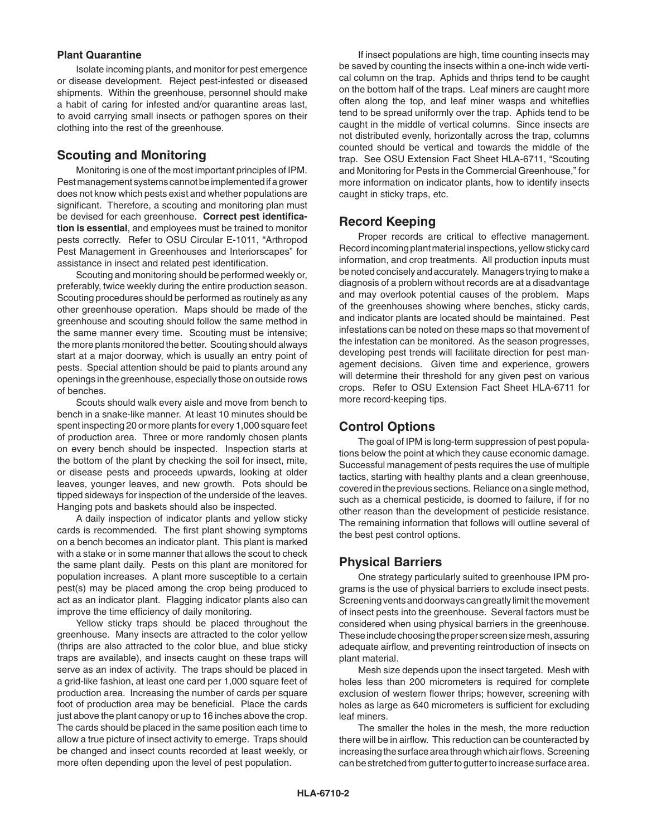#### **Plant Quarantine**

Isolate incoming plants, and monitor for pest emergence or disease development. Reject pest-infested or diseased shipments. Within the greenhouse, personnel should make a habit of caring for infested and/or quarantine areas last, to avoid carrying small insects or pathogen spores on their clothing into the rest of the greenhouse.

## **Scouting and Monitoring**

Monitoring is one of the most important principles of IPM. Pest management systems cannot be implemented if a grower does not know which pests exist and whether populations are significant. Therefore, a scouting and monitoring plan must be devised for each greenhouse. **Correct pest identification is essential**, and employees must be trained to monitor pests correctly. Refer to OSU Circular E-1011, "Arthropod Pest Management in Greenhouses and Interiorscapes" for assistance in insect and related pest identification.

Scouting and monitoring should be performed weekly or, preferably, twice weekly during the entire production season. Scouting procedures should be performed as routinely as any other greenhouse operation. Maps should be made of the greenhouse and scouting should follow the same method in the same manner every time. Scouting must be intensive; the more plants monitored the better. Scouting should always start at a major doorway, which is usually an entry point of pests. Special attention should be paid to plants around any openings in the greenhouse, especially those on outside rows of benches.

Scouts should walk every aisle and move from bench to bench in a snake-like manner. At least 10 minutes should be spent inspecting 20 or more plants for every 1,000 square feet of production area. Three or more randomly chosen plants on every bench should be inspected. Inspection starts at the bottom of the plant by checking the soil for insect, mite, or disease pests and proceeds upwards, looking at older leaves, younger leaves, and new growth. Pots should be tipped sideways for inspection of the underside of the leaves. Hanging pots and baskets should also be inspected.

A daily inspection of indicator plants and yellow sticky cards is recommended. The first plant showing symptoms on a bench becomes an indicator plant. This plant is marked with a stake or in some manner that allows the scout to check the same plant daily. Pests on this plant are monitored for population increases. A plant more susceptible to a certain pest(s) may be placed among the crop being produced to act as an indicator plant. Flagging indicator plants also can improve the time efficiency of daily monitoring.

Yellow sticky traps should be placed throughout the greenhouse. Many insects are attracted to the color yellow (thrips are also attracted to the color blue, and blue sticky traps are available), and insects caught on these traps will serve as an index of activity. The traps should be placed in a grid-like fashion, at least one card per 1,000 square feet of production area. Increasing the number of cards per square foot of production area may be beneficial. Place the cards just above the plant canopy or up to 16 inches above the crop. The cards should be placed in the same position each time to allow a true picture of insect activity to emerge. Traps should be changed and insect counts recorded at least weekly, or more often depending upon the level of pest population.

If insect populations are high, time counting insects may be saved by counting the insects within a one-inch wide vertical column on the trap. Aphids and thrips tend to be caught on the bottom half of the traps. Leaf miners are caught more often along the top, and leaf miner wasps and whiteflies tend to be spread uniformly over the trap. Aphids tend to be caught in the middle of vertical columns. Since insects are not distributed evenly, horizontally across the trap, columns counted should be vertical and towards the middle of the trap. See OSU Extension Fact Sheet HLA-6711, "Scouting and Monitoring for Pests in the Commercial Greenhouse," for more information on indicator plants, how to identify insects caught in sticky traps, etc.

## **Record Keeping**

Proper records are critical to effective management. Record incoming plant material inspections, yellow sticky card information, and crop treatments. All production inputs must be noted concisely and accurately. Managers trying to make a diagnosis of a problem without records are at a disadvantage and may overlook potential causes of the problem. Maps of the greenhouses showing where benches, sticky cards, and indicator plants are located should be maintained. Pest infestations can be noted on these maps so that movement of the infestation can be monitored. As the season progresses, developing pest trends will facilitate direction for pest management decisions. Given time and experience, growers will determine their threshold for any given pest on various crops. Refer to OSU Extension Fact Sheet HLA-6711 for more record-keeping tips.

## **Control Options**

The goal of IPM is long-term suppression of pest populations below the point at which they cause economic damage. Successful management of pests requires the use of multiple tactics, starting with healthy plants and a clean greenhouse, covered in the previous sections. Reliance on a single method, such as a chemical pesticide, is doomed to failure, if for no other reason than the development of pesticide resistance. The remaining information that follows will outline several of the best pest control options.

## **Physical Barriers**

One strategy particularly suited to greenhouse IPM programs is the use of physical barriers to exclude insect pests. Screening vents and doorways can greatly limit the movement of insect pests into the greenhouse. Several factors must be considered when using physical barriers in the greenhouse. These include choosing the proper screen size mesh, assuring adequate airflow, and preventing reintroduction of insects on plant material.

Mesh size depends upon the insect targeted. Mesh with holes less than 200 micrometers is required for complete exclusion of western flower thrips; however, screening with holes as large as 640 micrometers is sufficient for excluding leaf miners.

The smaller the holes in the mesh, the more reduction there will be in airflow. This reduction can be counteracted by increasing the surface area through which air flows. Screening can be stretched from gutter to gutter to increase surface area.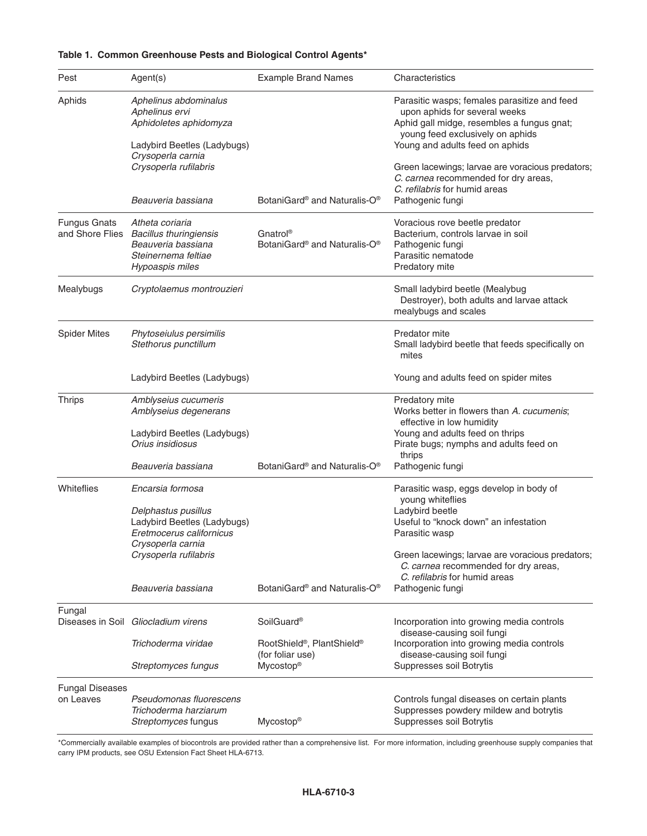| Pest                                   | Agent(s)                                                                                                              | <b>Example Brand Names</b>                                             | Characteristics                                                                                                                                                                                    |
|----------------------------------------|-----------------------------------------------------------------------------------------------------------------------|------------------------------------------------------------------------|----------------------------------------------------------------------------------------------------------------------------------------------------------------------------------------------------|
| Aphids                                 | Aphelinus abdominalus<br>Aphelinus ervi<br>Aphidoletes aphidomyza<br>Ladybird Beetles (Ladybugs)<br>Crysoperla carnia |                                                                        | Parasitic wasps; females parasitize and feed<br>upon aphids for several weeks<br>Aphid gall midge, resembles a fungus gnat;<br>young feed exclusively on aphids<br>Young and adults feed on aphids |
|                                        | Crysoperla rufilabris<br>Beauveria bassiana                                                                           | BotaniGard® and Naturalis-O®                                           | Green lacewings; larvae are voracious predators;<br>C. carnea recommended for dry areas,<br>C. refilabris for humid areas<br>Pathogenic fungi                                                      |
|                                        |                                                                                                                       |                                                                        |                                                                                                                                                                                                    |
| <b>Fungus Gnats</b><br>and Shore Flies | Atheta coriaria<br><b>Bacillus thuringiensis</b><br>Beauveria bassiana<br>Steinernema feltiae<br>Hypoaspis miles      | Gnatrol®<br>BotaniGard <sup>®</sup> and Naturalis-O <sup>®</sup>       | Voracious rove beetle predator<br>Bacterium, controls larvae in soil<br>Pathogenic fungi<br>Parasitic nematode<br>Predatory mite                                                                   |
| Mealybugs                              | Cryptolaemus montrouzieri                                                                                             |                                                                        | Small ladybird beetle (Mealybug<br>Destroyer), both adults and larvae attack<br>mealybugs and scales                                                                                               |
| <b>Spider Mites</b>                    | Phytoseiulus persimilis<br>Stethorus punctillum                                                                       |                                                                        | Predator mite<br>Small ladybird beetle that feeds specifically on<br>mites                                                                                                                         |
|                                        | Ladybird Beetles (Ladybugs)                                                                                           |                                                                        | Young and adults feed on spider mites                                                                                                                                                              |
| <b>Thrips</b>                          | Amblyseius cucumeris<br>Amblyseius degenerans                                                                         |                                                                        | Predatory mite<br>Works better in flowers than A. cucumenis;<br>effective in low humidity                                                                                                          |
|                                        | Ladybird Beetles (Ladybugs)<br>Orius insidiosus                                                                       |                                                                        | Young and adults feed on thrips<br>Pirate bugs; nymphs and adults feed on<br>thrips                                                                                                                |
|                                        | Beauveria bassiana                                                                                                    | BotaniGard <sup>®</sup> and Naturalis-O <sup>®</sup>                   | Pathogenic fungi                                                                                                                                                                                   |
| Whiteflies                             | Encarsia formosa                                                                                                      |                                                                        | Parasitic wasp, eggs develop in body of<br>young whiteflies                                                                                                                                        |
|                                        | Delphastus pusillus<br>Ladybird Beetles (Ladybugs)<br>Eretmocerus californicus<br>Crysoperla carnia                   |                                                                        | Ladybird beetle<br>Useful to "knock down" an infestation<br>Parasitic wasp                                                                                                                         |
|                                        | Crysoperla rufilabris                                                                                                 |                                                                        | Green lacewings; larvae are voracious predators;<br>C. carnea recommended for dry areas,<br>C. refilabris for humid areas                                                                          |
|                                        | Beauveria bassiana                                                                                                    | BotaniGard <sup>®</sup> and Naturalis-O <sup>®</sup>                   | Pathogenic fungi                                                                                                                                                                                   |
| Fungal                                 | Diseases in Soil Gliocladium virens                                                                                   | SoilGuard <sup>®</sup>                                                 | Incorporation into growing media controls<br>disease-causing soil fungi                                                                                                                            |
|                                        | Trichoderma viridae                                                                                                   | RootShield <sup>®</sup> , PlantShield <sup>®</sup><br>(for foliar use) | Incorporation into growing media controls<br>disease-causing soil fungi                                                                                                                            |
|                                        | Streptomyces fungus                                                                                                   | Mycostop <sup>®</sup>                                                  | Suppresses soil Botrytis                                                                                                                                                                           |
| <b>Fungal Diseases</b><br>on Leaves    | Pseudomonas fluorescens<br>Trichoderma harziarum<br>Streptomyces fungus                                               | Mycostop <sup>®</sup>                                                  | Controls fungal diseases on certain plants<br>Suppresses powdery mildew and botrytis<br>Suppresses soil Botrytis                                                                                   |

#### **Table 1. Common Greenhouse Pests and Biological Control Agents\***

\*Commercially available examples of biocontrols are provided rather than a comprehensive list. For more information, including greenhouse supply companies that carry IPM products, see OSU Extension Fact Sheet HLA-6713.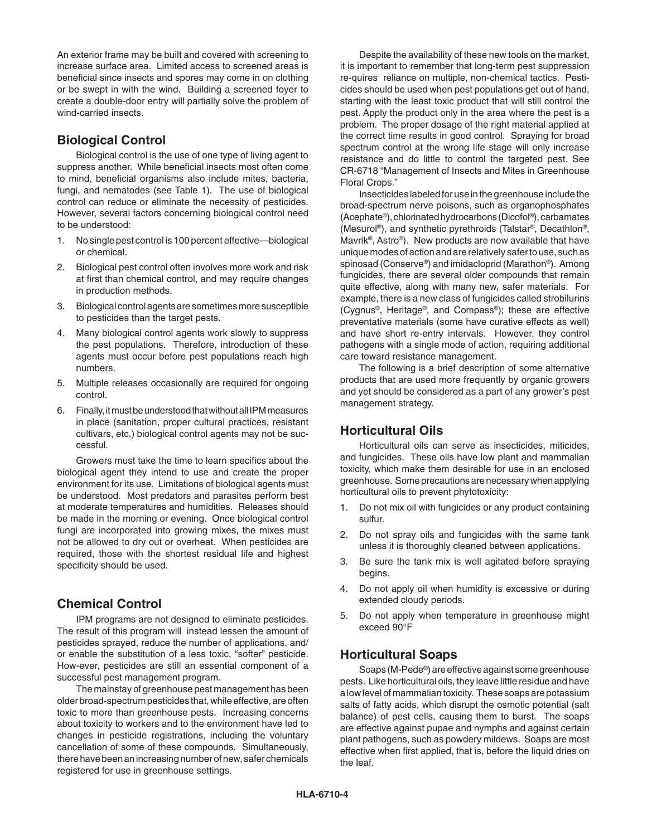An exterior frame may be built and covered with screening to increase surface area. Limited access to screened areas is beneficial since insects and spores may come in on clothing or be swept in with the wind. Building a screened foyer to create a double-door entry will partially solve the problem of wind-carried insects.

## **Biological Control**

Biological control is the use of one type of living agent to suppress another. While beneficial insects most often come to mind, beneficial organisms also include mites, bacteria, fungi, and nematodes (see Table 1). The use of biological control can reduce or eliminate the necessity of pesticides. However, several factors concerning biological control need to be understood:

- 1. No single pest control is 100 percent effective—biological or chemical.
- 2. Biological pest control often involves more work and risk at first than chemical control, and may require changes in production methods.
- 3. Biological control agents are sometimes more susceptible to pesticides than the target pests.
- 4. Many biological control agents work slowly to suppress the pest populations. Therefore, introduction of these agents must occur before pest populations reach high numbers.
- 5. Multiple releases occasionally are required for ongoing control.
- 6. Finally, it must be understood that without all IPM measures in place (sanitation, proper cultural practices, resistant cultivars, etc.) biological control agents may not be successful.

Growers must take the time to learn specifics about the biological agent they intend to use and create the proper environment for its use. Limitations of biological agents must be understood. Most predators and parasites perform best at moderate temperatures and humidities. Releases should be made in the morning or evening. Once biological control fungi are incorporated into growing mixes, the mixes must not be allowed to dry out or overheat. When pesticides are required, those with the shortest residual life and highest specificity should be used.

# **Chemical Control**

IPM programs are not designed to eliminate pesticides. The result of this program will instead lessen the amount of pesticides sprayed, reduce the number of applications, and/ or enable the substitution of a less toxic, "softer" pesticide. How-ever, pesticides are still an essential component of a successful pest management program.

The mainstay of greenhouse pest management has been older broad-spectrum pesticides that, while effective, are often toxic to more than greenhouse pests. Increasing concerns about toxicity to workers and to the environment have led to changes in pesticide registrations, including the voluntary cancellation of some of these compounds. Simultaneously, there have been an increasing number of new, safer chemicals registered for use in greenhouse settings.

Despite the availability of these new tools on the market, it is important to remember that long-term pest suppression re-quires reliance on multiple, non-chemical tactics. Pesticides should be used when pest populations get out of hand, starting with the least toxic product that will still control the pest. Apply the product only in the area where the pest is a problem. The proper dosage of the right material applied at the correct time results in good control. Spraying for broad spectrum control at the wrong life stage will only increase resistance and do little to control the targeted pest. See CR-6718 "Management of Insects and Mites in Greenhouse Floral Crops."

Insecticides labeled for use in the greenhouse include the broad-spectrum nerve poisons, such as organophosphates (Acephate®), chlorinated hydrocarbons (Dicofol®), carbamates (Mesurol®), and synthetic pyrethroids (Talstar®, Decathlon®, Mavrik®, Astro®). New products are now available that have unique modes of action and are relatively safer to use, such as spinosad (Conserve®) and imidacloprid (Marathon®). Among fungicides, there are several older compounds that remain quite effective, along with many new, safer materials. For example, there is a new class of fungicides called strobilurins (Cygnus®, Heritage®, and Compass®); these are effective preventative materials (some have curative effects as well) and have short re-entry intervals. However, they control pathogens with a single mode of action, requiring additional care toward resistance management.

The following is a brief description of some alternative products that are used more frequently by organic growers and yet should be considered as a part of any grower's pest management strategy.

# **Horticultural Oils**

Horticultural oils can serve as insecticides, miticides, and fungicides. These oils have low plant and mammalian toxicity, which make them desirable for use in an enclosed greenhouse. Some precautions are necessary when applying horticultural oils to prevent phytotoxicity:

- 1. Do not mix oil with fungicides or any product containing sulfur.
- 2. Do not spray oils and fungicides with the same tank unless it is thoroughly cleaned between applications.
- 3. Be sure the tank mix is well agitated before spraying begins.
- 4. Do not apply oil when humidity is excessive or during extended cloudy periods.
- 5. Do not apply when temperature in greenhouse might exceed 90°F

# **Horticultural Soaps**

Soaps (M-Pede®) are effective against some greenhouse pests. Like horticultural oils, they leave little residue and have a low level of mammalian toxicity. These soaps are potassium salts of fatty acids, which disrupt the osmotic potential (salt balance) of pest cells, causing them to burst. The soaps are effective against pupae and nymphs and against certain plant pathogens, such as powdery mildews. Soaps are most effective when first applied, that is, before the liquid dries on the leaf.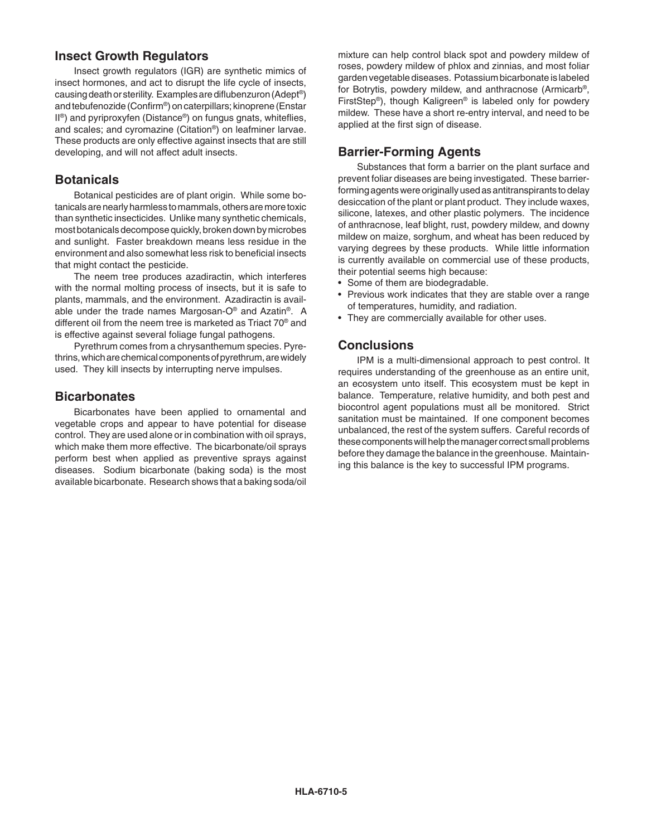## **Insect Growth Regulators**

Insect growth regulators (IGR) are synthetic mimics of insect hormones, and act to disrupt the life cycle of insects, causing death or sterility. Examples are diflubenzuron (Adept®) and tebufenozide (Confirm®) on caterpillars; kinoprene (Enstar II®) and pyriproxyfen (Distance®) on fungus gnats, whiteflies, and scales; and cyromazine (Citation®) on leafminer larvae. These products are only effective against insects that are still developing, and will not affect adult insects.

## **Botanicals**

Botanical pesticides are of plant origin. While some botanicals are nearly harmless to mammals, others are more toxic than synthetic insecticides. Unlike many synthetic chemicals, most botanicals decompose quickly, broken down by microbes and sunlight. Faster breakdown means less residue in the environment and also somewhat less risk to beneficial insects that might contact the pesticide.

The neem tree produces azadiractin, which interferes with the normal molting process of insects, but it is safe to plants, mammals, and the environment. Azadiractin is available under the trade names Margosan-O® and Azatin®. A different oil from the neem tree is marketed as Triact 70® and is effective against several foliage fungal pathogens.

Pyrethrum comes from a chrysanthemum species. Pyrethrins, which are chemical components of pyrethrum, are widely used. They kill insects by interrupting nerve impulses.

### **Bicarbonates**

Bicarbonates have been applied to ornamental and vegetable crops and appear to have potential for disease control. They are used alone or in combination with oil sprays, which make them more effective. The bicarbonate/oil sprays perform best when applied as preventive sprays against diseases. Sodium bicarbonate (baking soda) is the most available bicarbonate. Research shows that a baking soda/oil

mixture can help control black spot and powdery mildew of roses, powdery mildew of phlox and zinnias, and most foliar garden vegetable diseases. Potassium bicarbonate is labeled for Botrytis, powdery mildew, and anthracnose (Armicarb®, FirstStep®), though Kaligreen® is labeled only for powdery mildew. These have a short re-entry interval, and need to be applied at the first sign of disease.

# **Barrier-Forming Agents**

Substances that form a barrier on the plant surface and prevent foliar diseases are being investigated. These barrierforming agents were originally used as antitranspirants to delay desiccation of the plant or plant product. They include waxes, silicone, latexes, and other plastic polymers. The incidence of anthracnose, leaf blight, rust, powdery mildew, and downy mildew on maize, sorghum, and wheat has been reduced by varying degrees by these products. While little information is currently available on commercial use of these products, their potential seems high because:

- Some of them are biodegradable.
- Previous work indicates that they are stable over a range of temperatures, humidity, and radiation.
- They are commercially available for other uses.

## **Conclusions**

IPM is a multi-dimensional approach to pest control. It requires understanding of the greenhouse as an entire unit, an ecosystem unto itself. This ecosystem must be kept in balance. Temperature, relative humidity, and both pest and biocontrol agent populations must all be monitored. Strict sanitation must be maintained. If one component becomes unbalanced, the rest of the system suffers. Careful records of these components will help the manager correct small problems before they damage the balance in the greenhouse. Maintaining this balance is the key to successful IPM programs.